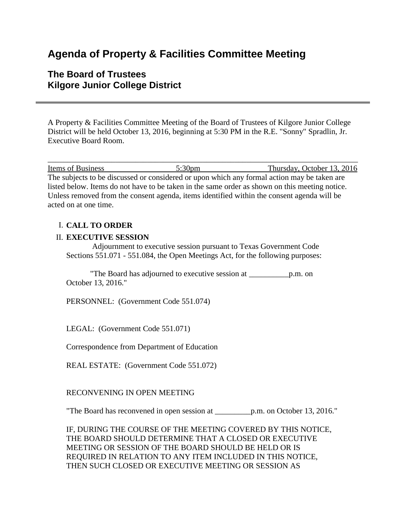# **Agenda of Property & Facilities Committee Meeting**

## **The Board of Trustees Kilgore Junior College District**

A Property & Facilities Committee Meeting of the Board of Trustees of Kilgore Junior College District will be held October 13, 2016, beginning at 5:30 PM in the R.E. "Sonny" Spradlin, Jr. Executive Board Room.

\_\_\_\_\_\_\_\_\_\_\_\_\_\_\_\_\_\_\_\_\_\_\_\_\_\_\_\_\_\_\_\_\_\_\_\_\_\_\_\_\_\_\_\_\_\_\_\_\_\_\_\_\_\_\_\_\_\_\_\_\_\_\_\_\_\_\_\_\_\_\_\_\_\_\_\_\_\_ Items of Business 5:30pm Thursday, October 13, 2016 The subjects to be discussed or considered or upon which any formal action may be taken are listed below. Items do not have to be taken in the same order as shown on this meeting notice. Unless removed from the consent agenda, items identified within the consent agenda will be acted on at one time.

### I. **CALL TO ORDER**

#### II. **EXECUTIVE SESSION**

 Adjournment to executive session pursuant to Texas Government Code Sections 551.071 - 551.084, the Open Meetings Act, for the following purposes:

 "The Board has adjourned to executive session at \_\_\_\_\_\_\_\_\_\_p.m. on October 13, 2016."

PERSONNEL: (Government Code 551.074)

LEGAL: (Government Code 551.071)

Correspondence from Department of Education

REAL ESTATE: (Government Code 551.072)

RECONVENING IN OPEN MEETING

"The Board has reconvened in open session at \_\_\_\_\_\_\_\_\_p.m. on October 13, 2016."

IF, DURING THE COURSE OF THE MEETING COVERED BY THIS NOTICE, THE BOARD SHOULD DETERMINE THAT A CLOSED OR EXECUTIVE MEETING OR SESSION OF THE BOARD SHOULD BE HELD OR IS REQUIRED IN RELATION TO ANY ITEM INCLUDED IN THIS NOTICE, THEN SUCH CLOSED OR EXECUTIVE MEETING OR SESSION AS